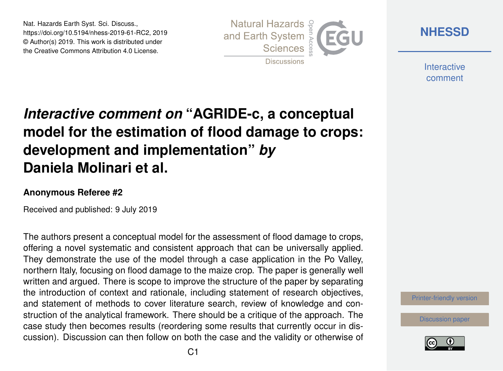Nat. Hazards Earth Syst. Sci. Discuss., https://doi.org/10.5194/nhess-2019-61-RC2, 2019 © Author(s) 2019. This work is distributed under the Creative Commons Attribution 4.0 License.



**[NHESSD](https://www.nat-hazards-earth-syst-sci-discuss.net/)**

**Interactive** comment

# *Interactive comment on* **"AGRIDE-c, a conceptual model for the estimation of flood damage to crops: development and implementation"** *by* **Daniela Molinari et al.**

#### **Anonymous Referee #2**

Received and published: 9 July 2019

The authors present a conceptual model for the assessment of flood damage to crops, offering a novel systematic and consistent approach that can be universally applied. They demonstrate the use of the model through a case application in the Po Valley, northern Italy, focusing on flood damage to the maize crop. The paper is generally well written and argued. There is scope to improve the structure of the paper by separating the introduction of context and rationale, including statement of research objectives, and statement of methods to cover literature search, review of knowledge and construction of the analytical framework. There should be a critique of the approach. The case study then becomes results (reordering some results that currently occur in discussion). Discussion can then follow on both the case and the validity or otherwise of

[Printer-friendly version](https://www.nat-hazards-earth-syst-sci-discuss.net/nhess-2019-61/nhess-2019-61-RC2-print.pdf)

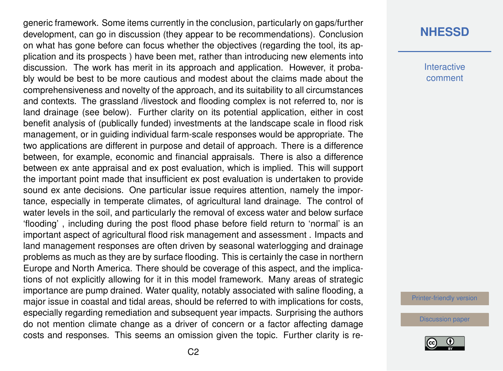generic framework. Some items currently in the conclusion, particularly on gaps/further development, can go in discussion (they appear to be recommendations). Conclusion on what has gone before can focus whether the objectives (regarding the tool, its application and its prospects ) have been met, rather than introducing new elements into discussion. The work has merit in its approach and application. However, it probably would be best to be more cautious and modest about the claims made about the comprehensiveness and novelty of the approach, and its suitability to all circumstances and contexts. The grassland /livestock and flooding complex is not referred to, nor is land drainage (see below). Further clarity on its potential application, either in cost benefit analysis of (publically funded) investments at the landscape scale in flood risk management, or in guiding individual farm-scale responses would be appropriate. The two applications are different in purpose and detail of approach. There is a difference between, for example, economic and financial appraisals. There is also a difference between ex ante appraisal and ex post evaluation, which is implied. This will support the important point made that insufficient ex post evaluation is undertaken to provide sound ex ante decisions. One particular issue requires attention, namely the importance, especially in temperate climates, of agricultural land drainage. The control of water levels in the soil, and particularly the removal of excess water and below surface 'flooding' , including during the post flood phase before field return to 'normal' is an important aspect of agricultural flood risk management and assessment . Impacts and land management responses are often driven by seasonal waterlogging and drainage problems as much as they are by surface flooding. This is certainly the case in northern Europe and North America. There should be coverage of this aspect, and the implications of not explicitly allowing for it in this model framework. Many areas of strategic importance are pump drained. Water quality, notably associated with saline flooding, a major issue in coastal and tidal areas, should be referred to with implications for costs, especially regarding remediation and subsequent year impacts. Surprising the authors do not mention climate change as a driver of concern or a factor affecting damage costs and responses. This seems an omission given the topic. Further clarity is re-

### **[NHESSD](https://www.nat-hazards-earth-syst-sci-discuss.net/)**

**Interactive** comment

[Printer-friendly version](https://www.nat-hazards-earth-syst-sci-discuss.net/nhess-2019-61/nhess-2019-61-RC2-print.pdf)

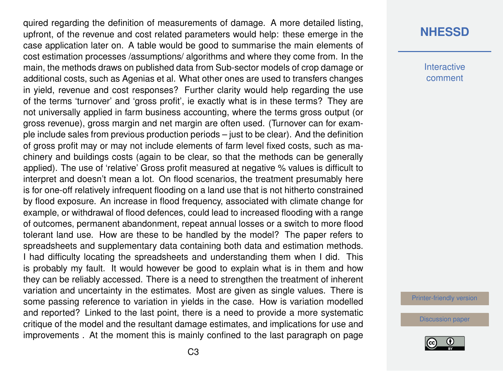quired regarding the definition of measurements of damage. A more detailed listing, upfront, of the revenue and cost related parameters would help: these emerge in the case application later on. A table would be good to summarise the main elements of cost estimation processes /assumptions/ algorithms and where they come from. In the main, the methods draws on published data from Sub-sector models of crop damage or additional costs, such as Agenias et al. What other ones are used to transfers changes in yield, revenue and cost responses? Further clarity would help regarding the use of the terms 'turnover' and 'gross profit', ie exactly what is in these terms? They are not universally applied in farm business accounting, where the terms gross output (or gross revenue), gross margin and net margin are often used. (Turnover can for example include sales from previous production periods – just to be clear). And the definition of gross profit may or may not include elements of farm level fixed costs, such as machinery and buildings costs (again to be clear, so that the methods can be generally applied). The use of 'relative' Gross profit measured at negative % values is difficult to interpret and doesn't mean a lot. On flood scenarios, the treatment presumably here is for one-off relatively infrequent flooding on a land use that is not hitherto constrained by flood exposure. An increase in flood frequency, associated with climate change for example, or withdrawal of flood defences, could lead to increased flooding with a range of outcomes, permanent abandonment, repeat annual losses or a switch to more flood tolerant land use. How are these to be handled by the model? The paper refers to spreadsheets and supplementary data containing both data and estimation methods. I had difficulty locating the spreadsheets and understanding them when I did. This is probably my fault. It would however be good to explain what is in them and how they can be reliably accessed. There is a need to strengthen the treatment of inherent variation and uncertainty in the estimates. Most are given as single values. There is some passing reference to variation in yields in the case. How is variation modelled and reported? Linked to the last point, there is a need to provide a more systematic critique of the model and the resultant damage estimates, and implications for use and improvements . At the moment this is mainly confined to the last paragraph on page

### **[NHESSD](https://www.nat-hazards-earth-syst-sci-discuss.net/)**

**Interactive** comment

[Printer-friendly version](https://www.nat-hazards-earth-syst-sci-discuss.net/nhess-2019-61/nhess-2019-61-RC2-print.pdf)